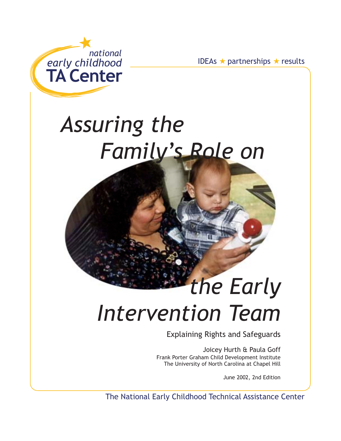

erships ★ results

# Assuring the Family's Role on

# the Early **Intervention Team**

**Explaining Rights and Safeguards** 

Joicey Hurth & Paula Goff Frank Porter Graham Child Development Institute The University of North Carolina at Chapel Hill

June 2002, 2nd Edition

The National Early Childhood Technical Assistance Center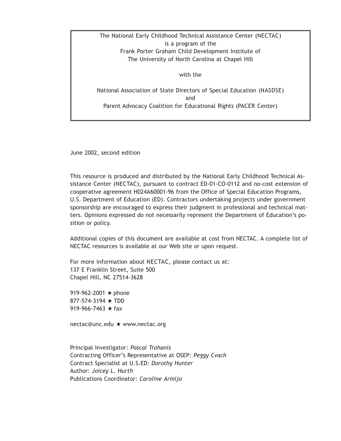The National Early Childhood Technical Assistance Center (NECTAC) is a program of the Frank Porter Graham Child Development Institute of The University of North Carolina at Chapel Hill

with the

National Association of State Directors of Special Education (NASDSE) and Parent Advocacy Coalition for Educational Rights (PACER Center)

June 2002, second edition

This resource is produced and distributed by the National Early Childhood Technical Assistance Center (NECTAC), pursuant to contract ED-01-CO-0112 and no-cost extension of cooperative agreement H024A60001-96 from the Office of Special Education Programs, U.S. Department of Education (ED). Contractors undertaking projects under government sponsorship are encouraged to express their judgment in professional and technical matters. Opinions expressed do not necessarily represent the Department of Education's position or policy.

Additional copies of this document are available at cost from NECTAC. A complete list of NECTAC resources is available at our Web site or upon request.

For more information about NECTAC, please contact us at: 137 E Franklin Street, Suite 500 Chapel Hill, NC 27514-3628

919-962-2001  $\star$  phone 877-574-3194 ★ TDD 919-966-7463  $\star$  fax

nectac@unc.edu ★ www.nectac.org

Principal Investigator: Pascal Trohanis Contracting Officer's Representative at OSEP: Peggy Cvach Contract Specialist at U.S.ED: Dorothy Hunter Author: Joicey L. Hurth Publications Coordinator: Caroline Armijo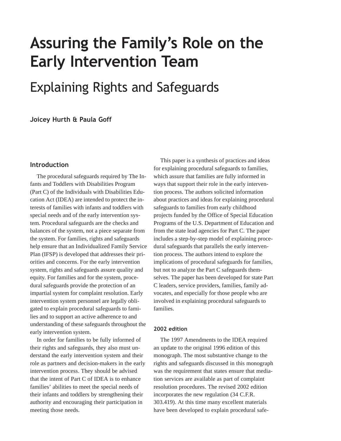# Assuring the Family's Role on the **Early Intervention Team**

# **Explaining Rights and Safeguards**

# Joicey Hurth & Paula Goff

#### **Introduction**

The procedural safeguards required by The Infants and Toddlers with Disabilities Program (Part C) of the Individuals with Disabilities Education Act (IDEA) are intended to protect the interests of families with infants and toddlers with special needs and of the early intervention system. Procedural safeguards are the checks and balances of the system, not a piece separate from the system. For families, rights and safeguards help ensure that an Individualized Family Service Plan (IFSP) is developed that addresses their priorities and concerns. For the early intervention system, rights and safeguards assure quality and equity. For families and for the system, procedural safeguards provide the protection of an impartial system for complaint resolution. Early intervention system personnel are legally obligated to explain procedural safeguards to families and to support an active adherence to and understanding of these safeguards throughout the early intervention system.

In order for families to be fully informed of their rights and safeguards, they also must understand the early intervention system and their role as partners and decision-makers in the early intervention process. They should be advised that the intent of Part C of IDEA is to enhance families' abilities to meet the special needs of their infants and toddlers by strengthening their authority and encouraging their participation in meeting those needs.

This paper is a synthesis of practices and ideas for explaining procedural safeguards to families, which assure that families are fully informed in ways that support their role in the early intervention process. The authors solicited information about practices and ideas for explaining procedural safeguards to families from early childhood projects funded by the Office of Special Education Programs of the U.S. Department of Education and from the state lead agencies for Part C. The paper includes a step-by-step model of explaining procedural safeguards that parallels the early intervention process. The authors intend to explore the implications of procedural safeguards for families, but not to analyze the Part C safeguards themselves. The paper has been developed for state Part C leaders, service providers, families, family advocates, and especially for those people who are involved in explaining procedural safeguards to families.

#### 2002 edition

The 1997 Amendments to the IDEA required an update to the original 1996 edition of this monograph. The most substantive change to the rights and safeguards discussed in this monograph was the requirement that states ensure that mediation services are available as part of complaint resolution procedures. The revised 2002 edition incorporates the new regulation (34 C.F.R. 303.419). At this time many excellent materials have been developed to explain procedural safe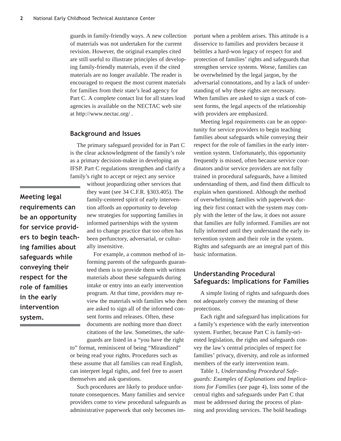guards in family-friendly ways. A new collection of materials was not undertaken for the current revision. However, the original examples cited are still useful to illustrate principles of developing family-friendly materials, even if the cited materials are no longer available. The reader is encouraged to request the most current materials for families from their state's lead agency for Part C. A complete contact list for all states lead agencies is available on the NECTAC web site at http://www.nectac.org/ .

#### **Background and Issues**

The primary safeguard provided for in Part C is the clear acknowledgment of the family's role as a primary decision-maker in developing an IFSP. Part C regulations strengthen and clarify a family's right to accept or reject any service

**Meeting legal** requirements can be an opportunity for service providers to begin teaching families about safeguards while conveying their respect for the role of families in the early intervention system.

without jeopardizing other services that they want (see 34 C.F.R. §303.405). The family-centered spirit of early intervention affords an opportunity to develop new strategies for supporting families in informed partnerships with the system and to change practice that too often has been perfunctory, adversarial, or culturally insensitive.

For example, a common method of informing parents of the safeguards guaranteed them is to provide them with written materials about these safeguards during intake or entry into an early intervention program. At that time, providers may review the materials with families who then are asked to sign all of the informed consent forms and releases. Often, these documents are nothing more than direct citations of the law. Sometimes, the safeguards are listed in a "you have the right

to" format, reminiscent of being "Mirandized" or being read your rights. Procedures such as these assume that all families can read English, can interpret legal rights, and feel free to assert themselves and ask questions.

Such procedures are likely to produce unfortunate consequences. Many families and service providers come to view procedural safeguards as administrative paperwork that only becomes im-

portant when a problem arises. This attitude is a disservice to families and providers because it belittles a hard-won legacy of respect for and protection of families' rights and safeguards that strengthen service systems. Worse, families can be overwhelmed by the legal jargon, by the adversarial connotations, and by a lack of understanding of why these rights are necessary. When families are asked to sign a stack of consent forms, the legal aspects of the relationship with providers are emphasized.

Meeting legal requirements can be an opportunity for service providers to begin teaching families about safeguards while conveying their respect for the role of families in the early intervention system. Unfortunately, this opportunity frequently is missed, often because service coordinators and/or service providers are not fully trained in procedural safeguards, have a limited understanding of them, and find them difficult to explain when questioned. Although the method of overwhelming families with paperwork during their first contact with the system may comply with the letter of the law, it does not assure that families are fully informed. Families are not fully informed until they understand the early intervention system and their role in the system. Rights and safeguards are an integral part of this basic information.

# **Understanding Procedural** Safeguards: Implications for Families

A simple listing of rights and safeguards does not adequately convey the meaning of these protections.

Each right and safeguard has implications for a family's experience with the early intervention system. Further, because Part C is family-oriented legislation, the rights and safeguards convey the law's central principles of respect for families' privacy, diversity, and role as informed members of the early intervention team.

Table 1, *Understanding Procedural Safeguards: Examples of Explanations and Implications for Families* (*see* page 4), lists some of the central rights and safeguards under Part C that must be addressed during the process of planning and providing services. The bold headings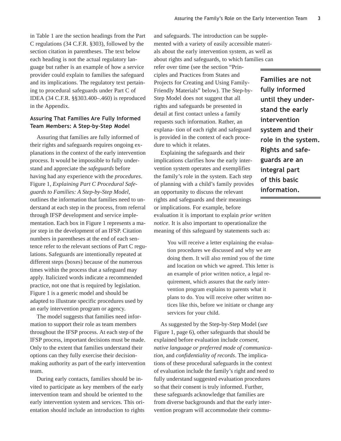in Table 1 are the section headings from the Part C regulations (34 C.F.R. §303), followed by the section citation in parentheses. The text below each heading is not the actual regulatory language but rather is an example of how a service provider could explain to families the safeguard and its implications. The regulatory text pertaining to procedural safeguards under Part C of IDEA (34 C.F.R. §§303.400–.460) is reproduced in the Appendix.

#### Assuring That Families Are Fully Informed Team Members: A Step-by-Step Model

Assuring that families are fully informed of their rights and safeguards requires ongoing explanations in the context of the early intervention process. It would be impossible to fully understand and appreciate the *safeguards* before having had any experience with the *procedures*. Figure 1*, Explaining Part C Procedural Safeguards to Families: A Step-by-Step Model*, outlines the information that families need to understand at each step in the process, from referral through IFSP development and service implementation. Each box in Figure 1 represents a major step in the development of an IFSP. Citation numbers in parentheses at the end of each sentence refer to the relevant sections of Part C regulations. Safeguards are intentionally repeated at different steps (boxes) because of the numerous times within the process that a safeguard may apply. Italicized words indicate a recommended practice, not one that is required by legislation. Figure 1 is a generic model and should be adapted to illustrate specific procedures used by an early intervention program or agency.

The model suggests that families need information to support their role as team members throughout the IFSP process. At each step of the IFSP process, important decisions must be made. Only to the extent that families understand their options can they fully exercise their decisionmaking authority as part of the early intervention team.

During early contacts, families should be invited to participate as key members of the early intervention team and should be oriented to the early intervention system and services. This orientation should include an introduction to rights

and safeguards. The introduction can be supplemented with a variety of easily accessible materials about the early intervention system, as well as about rights and safeguards, to which families can

refer over time (see the section "Principles and Practices from States and Projects for Creating and Using Family-Friendly Materials" below). The Step-by-Step Model does not suggest that all rights and safeguards be presented in detail at first contact unless a family requests such information. Rather, an explana- tion of each right and safeguard is provided in the context of each procedure to which it relates.

Explaining the safeguards and their implications clarifies how the early intervention system operates and exemplifies the family's role in the system. Each step of planning with a child's family provides an opportunity to discuss the relevant rights and safeguards and their meanings or implications. For example, before

Families are not fully informed until they understand the early intervention system and their role in the system. **Rights and safe**guards are an integral part of this basic information.

evaluation it is important to explain *prior written notice*. It is also important to operationalize the meaning of this safeguard by statements such as:

> You will receive a letter explaining the evaluation procedures we discussed and why we are doing them. It will also remind you of the time and location on which we agreed. This letter is an example of prior written notice, a legal requirement, which assures that the early intervention program explains to parents what it plans to do. You will receive other written notices like this, before we initiate or change any services for your child.

As suggested by the Step-by-Step Model (*see* Figure 1, page 6), other safeguards that should be explained before evaluation include *consent, native language or preferred mode of communication,* and *confidentiality of records*. The implications of these procedural safeguards in the context of evaluation include the family's right and need to fully understand suggested evaluation procedures so that their consent is truly informed. Further, these safeguards acknowledge that families are from diverse backgrounds and that the early intervention program will accommodate their commu-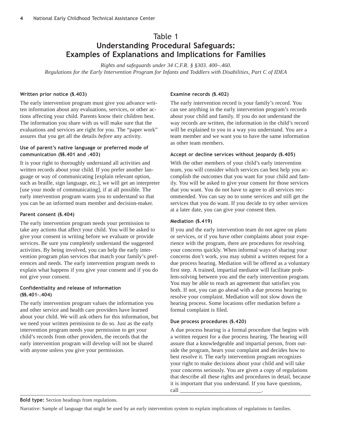# Table 1 Understanding Procedural Safeguards: Examples of Explanations and Implications for Families

*Rights and safeguards under 34 C.F.R. § §303. 400–.460. Regulations for the Early Intervention Program for Infants and Toddlers with Disabilities, Part C of IDEA*

#### Written prior notice (§.403)

The early intervention program must give you advance written information about any evaluations, services, or other actions affecting your child. Parents know their children best. The information you share with us will make sure that the evaluations and services are right for you. The "paper work" assures that you get all the details *before* any activity.

#### Use of parent's native language or preferred mode of communication (§§.401 and .403)

It is your right to thoroughly understand all activities and written records about your child. If you prefer another language or way of communicating [explain relevant option, such as braille, sign language, etc.], we will get an interpreter [use your mode of communicating], if at all possible. The early intervention program wants you to understand so that you can be an informed team member and decision-maker.

#### Parent consent (§.404)

The early intervention program needs your permission to take any actions that affect your child. You will be asked to give your consent in writing before we evaluate or provide services. Be sure you completely understand the suggested activities. By being involved, you can help the early intervention program plan services that match your family's preferences and needs. The early intervention program needs to explain what happens if you give your consent and if you do not give your consent.

#### Confidentiality and release of information  $($ §§.401-.404 $)$

The early intervention program values the information you and other service and health care providers have learned about your child. We will ask others for this information, but we need your written permission to do so. Just as the early intervention program needs your permission to get your child's records from other providers, the records that the early intervention program will develop will not be shared with anyone unless you give your permission.

#### Examine records (§.402)

The early intervention record is your family's record. You can see anything in the early intervention program's records about your child and family. If you do not understand the way records are written, the information in the child's record will be explained to you in a way you understand. You are a team member and we want you to have the same information as other team members.

#### Accept or decline services without jeopardy (§.405)

With the other members of your child's early intervention team, you will consider which services can best help you accomplish the outcomes that you want for your child and family. You will be asked to give your consent for those services that you want. You do not have to agree to all services recommended. You can say no to some services and still get the services that you do want. If you decide to try other services at a later date, you can give your consent then.

#### Mediation (§.419)

If you and the early intervention team do not agree on plans or services, or if you have other complaints about your experience with the program, there are procedures for resolving your concerns quickly. When informal ways of sharing your concerns don't work, you may submit a written request for a due process hearing. Mediation will be offered as a voluntary first step. A trained, impartial mediator will facilitate problem-solving between you and the early intervention program. You may be able to reach an agreement that satisfies you both. If not, you can go ahead with a due process hearing to resolve your complaint. Mediation will not slow down the hearing process. Some locations offer mediation before a formal complaint is filed.

#### Due process procedures (§.420)

A due process hearing is a formal procedure that begins with a written request for a due process hearing. The hearing will assure that a knowledgeable and impartial person, from outside the program, hears your complaint and decides how to best resolve it. The early intervention program recognizes your right to make decisions about your child and will take your concerns seriously. You are given a copy of regulations that describe all these rights and procedures in detail, because it is important that you understand. If you have questions,  $\text{call} \_$ 

Bold type: Section headings from regulations.

Narrative: Sample of language that might be used by an early intervention system to explain implications of regulations to families.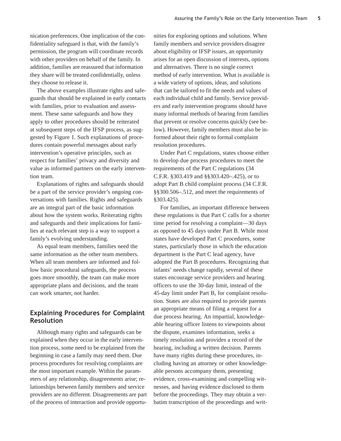nication preferences. One implication of the confidentiality safeguard is that, with the family's permission, the program will coordinate records with other providers on behalf of the family. In addition, families are reassured that information they share will be treated confidentially, unless they choose to release it.

The above examples illustrate rights and safeguards that should be explained in early contacts with families, prior to evaluation and assessment. These same safeguards and how they apply to other procedures should be reiterated at subsequent steps of the IFSP process, as suggested by Figure 1. Such explanations of procedures contain powerful messages about early intervention's operative principles, such as respect for families' privacy and diversity and value as informed partners on the early intervention team.

Explanations of rights and safeguards should be a part of the service provider's ongoing conversations with families. Rights and safeguards are an integral part of the basic information about how the system works. Reiterating rights and safeguards and their implications for families at each relevant step is a way to support a family's evolving understanding.

As equal team members, families need the same information as the other team members. When all team members are informed and follow basic procedural safeguards, the process goes more smoothly, the team can make more appropriate plans and decisions, and the team can work smarter, not harder.

# Explaining Procedures for Complaint Resolution

Although many rights and safeguards can be explained when they occur in the early intervention process, some need to be explained from the beginning in case a family may need them. Due process procedures for resolving complaints are the most important example. Within the parameters of any relationship, disagreements arise; relationships between family members and service providers are no different. Disagreements are part of the process of interaction and provide opportunities for exploring options and solutions. When family members and service providers disagree about eligibility or IFSP issues, an opportunity arises for an open discussion of interests, options and alternatives. There is no single correct method of early intervention. What is available is a wide variety of options, ideas, and solutions that can be tailored to fit the needs and values of each individual child and family. Service providers and early intervention programs should have many informal methods of hearing from families that prevent or resolve concerns quickly (see below). However, family members must also be informed about their right to formal complaint resolution procedures.

Under Part C regulations, states choose either to develop due process procedures to meet the requirements of the Part C regulations (34 C.F.R. §303.419 and §§303.420–.425), or to adopt Part B child complaint process (34 C.F.R. §§300.506–.512, and meet the requirements of §303.425).

For families, an important difference between these regulations is that Part C calls for a shorter time period for resolving a complaint—30 days as opposed to 45 days under Part B. While most states have developed Part C procedures, some states, particularly those in which the education department is the Part C lead agency, have adopted the Part B procedures. Recognizing that infants' needs change rapidly, several of these states encourage service providers and hearing officers to use the 30-day limit, instead of the 45-day limit under Part B, for complaint resolution. States are also required to provide parents an appropriate means of filing a request for a due process hearing. An impartial, knowledgeable hearing officer listens to viewpoints about the dispute, examines information, seeks a timely resolution and provides a record of the hearing, including a written decision. Parents have many rights during these procedures, including having an attorney or other knowledgeable persons accompany them, presenting evidence, cross-examining and compelling witnesses, and having evidence disclosed to them before the proceedings. They may obtain a verbatim transcription of the proceedings and writ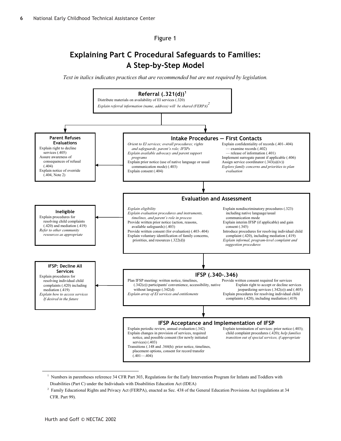Figure 1

# **Explaining Part C Procedural Safeguards to Families: A Step-by-Step Model**

*Text in italics indicates practices that are recommended but are not required by legislation.* 



<sup>1</sup> Numbers in parentheses reference 34 CFR Part 303, Regulations for the Early Intervention Program for Infants and Toddlers with Disabilities (Part C) under the Individuals with Disabilities Education Act (IDEA)

<sup>2</sup> Family Educational Rights and Privacy Act (FERPA), enacted as Sec. 438 of the General Education Provisions Act (regulations at 34 CFR. Part 99).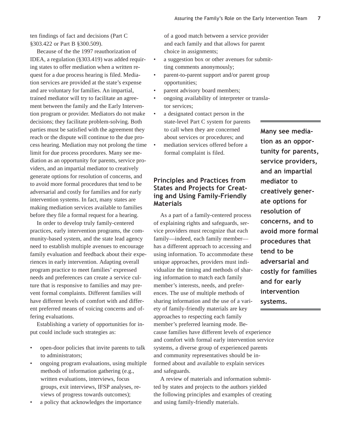ten findings of fact and decisions (Part C §303.422 or Part B §300.509).

Because of the the 1997 reauthorization of IDEA, a regulation (§303.419) was added requiring states to offer mediation when a written request for a due process hearing is filed. Mediation services are provided at the state's expense and are voluntary for families. An impartial, trained mediator will try to facilitate an agreement between the family and the Early Intervention program or provider. Mediators do not make decisions; they facilitate problem-solving. Both parties must be satisfied with the agreement they reach or the dispute will continue to the due process hearing. Mediation may not prolong the time limit for due process procedures. Many see mediation as an opportunity for parents, service providers, and an impartial mediator to creatively generate options for resolution of concerns, and to avoid more formal procedures that tend to be adversarial and costly for families and for early intervention systems. In fact, many states are making mediation services available to families before they file a formal request for a hearing.

In order to develop truly family-centered practices, early intervention programs, the community-based system, and the state lead agency need to establish multiple avenues to encourage family evaluation and feedback about their experiences in early intervention. Adapting overall program practice to meet families' expressed needs and preferences can create a service culture that is responsive to families and may prevent formal complaints. Different families will have different levels of comfort with and different preferred means of voicing concerns and offering evaluations.

Establishing a variety of opportunities for input could include such strategies as:

- open-door policies that invite parents to talk to administrators;
- ongoing program evaluations, using multiple methods of information gathering (e.g., written evaluations, interviews, focus groups, exit interviews, IFSP analyses, reviews of progress towards outcomes);
- a policy that acknowledges the importance

of a good match between a service provider and each family and that allows for parent choice in assignments;

- a suggestion box or other avenues for submitting comments anonymously;
- parent-to-parent support and/or parent group opportunities;
- parent advisory board members;
- ongoing availability of interpreter or translator services;
- a designated contact person in the state-level Part C system for parents to call when they are concerned about services or procedures; and
- mediation services offered before a formal complaint is filed.

# Principles and Practices from States and Projects for Creating and Using Family-Friendly **Materials**

As a part of a family-centered process of explaining rights and safeguards, service providers must recognize that each family—indeed, each family member has a different approach to accessing and using information. To accommodate these unique approaches, providers must individualize the timing and methods of sharing information to match each family member's interests, needs, and preferences. The use of multiple methods of sharing information and the use of a variety of family-friendly materials are key approaches to respecting each family member's preferred learning mode. Because families have different levels of experience and comfort with formal early intervention service systems, a diverse group of experienced parents and community representatives should be informed about and available to explain services and safeguards.

A review of materials and information submitted by states and projects to the authors yielded the following principles and examples of creating and using family-friendly materials.

Many see mediation as an opportunity for parents, service providers, and an impartial mediator to creatively generate options for resolution of concerns, and to avoid more formal procedures that tend to be adversarial and costly for families and for early intervention systems.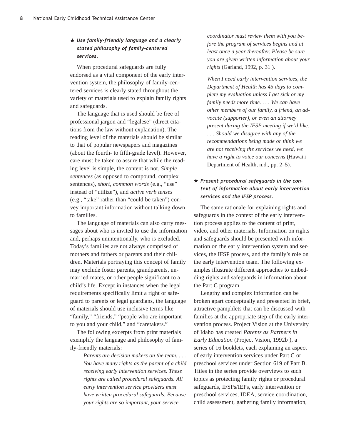# $\star$  Use family-friendly language and a clearly stated philosophy of family-centered services.

When procedural safeguards are fully endorsed as a vital component of the early intervention system, the philosophy of family-centered services is clearly stated throughout the variety of materials used to explain family rights and safeguards.

The language that is used should be free of professional jargon and "legalese" (direct citations from the law without explanation). The reading level of the materials should be similar to that of popular newspapers and magazines (about the fourth- to fifth-grade level). However, care must be taken to assure that while the reading level is simple, the content is not. *Simple sentences* (as opposed to compound, complex sentences), *short, common words* (e.g., "use" instead of "utilize"), and *active verb tenses* (e.g., "take" rather than "could be taken") convey important information without talking down to families.

The language of materials can also carry messages about who is invited to use the information and, perhaps unintentionally, who is excluded. Today's families are not always comprised of mothers and fathers or parents and their children. Materials portraying this concept of family may exclude foster parents, grandparents, unmarried mates, or other people significant to a child's life. Except in instances when the legal requirements specifically limit a right or safeguard to parents or legal guardians, the language of materials should use inclusive terms like "family," "friends," "people who are important to you and your child," and "caretakers."

The following excerpts from print materials exemplify the language and philosophy of family-friendly materials:

> *Parents are decision makers on the team. . . . You have many rights as the parent of a child receiving early intervention services. These rights are called procedural safeguards. All early intervention service providers must have written procedural safeguards. Because your rights are so important, your service*

*coordinator must review them with you before the program of services begins and at least once a year thereafter. Please be sure you are given written information about your rights* (Garland, 1992, p. 31 ).

*When I need early intervention services, the Department of Health has 45 days to complete my evaluation unless I get sick or my family needs more time. . . . We can have other members of our family, a friend, an advocate (supporter), or even an attorney present during the IFSP meeting if we'd like. . . . Should we disagree with any of the recommendations being made or think we are not receiving the services we need, we have a right to voice our concerns* (Hawai'i Department of Health, n.d., pp. 2–5).

# $\star$  Present procedural safeguards in the context of information about early intervention services and the IFSP process.

The same rationale for explaining rights and safeguards in the context of the early intervention process applies to the content of print, video, and other materials. Information on rights and safeguards should be presented with information on the early intervention system and services, the IFSP process, and the family's role on the early intervention team. The following examples illustrate different approaches to embedding rights and safeguards in information about the Part C program.

Lengthy and complex information can be broken apart conceptually and presented in brief, attractive pamphlets that can be discussed with families at the appropriate step of the early intervention process. Project Vision at the University of Idaho has created *Parents as Partners in Early Education* (Project Vision, 1992b ), a series of 16 booklets, each explaining an aspect of early intervention services under Part C or preschool services under Section 619 of Part B. Titles in the series provide overviews to such topics as protecting family rights or procedural safeguards, IFSPs/IEPs, early intervention or preschool services, IDEA, service coordination, child assessment, gathering family information,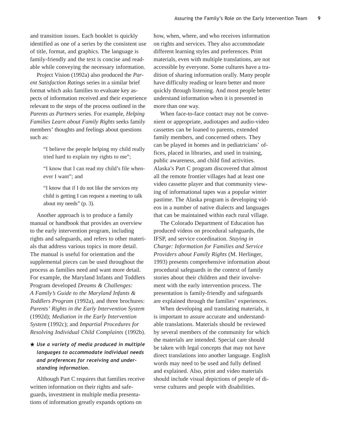and transition issues. Each booklet is quickly identified as one of a series by the consistent use of title, format, and graphics. The language is family-friendly and the text is concise and readable while conveying the necessary information.

Project Vision (1992a) also produced the *Parent Satisfaction Ratings* series in a similar brief format which asks families to evaluate key aspects of information received and their experience relevant to the steps of the process outlined in the *Parents as Partners* series. For example, *Helping Families Learn about Family Rights* seeks family members' thoughts and feelings about questions such as:

> "I believe the people helping my child really tried hard to explain my rights to me";

> "I know that I can read my child's file whenever I want"; and

"I know that if I do not like the services my child is getting I can request a meeting to talk about my needs" (p. 3).

Another approach is to produce a family manual or handbook that provides an overview to the early intervention program, including rights and safeguards, and refers to other materials that address various topics in more detail. The manual is useful for orientation and the supplemental pieces can be used throughout the process as families need and want more detail. For example, the Maryland Infants and Toddlers Program developed *Dreams & Challenges: A Family's Guide to the Maryland Infants & Toddlers Program* (1992a), and three brochures: *Parents' Rights in the Early Intervention System* (1992d); *Mediation in the Early Intervention System* (1992c); and *Impartial Procedures for Resolving Individual Child Complaints* (1992b).

# $\star$  Use a variety of media produced in multiple languages to accommodate individual needs and preferences for receiving and understanding information.

Although Part C requires that families receive written information on their rights and safeguards, investment in multiple media presentations of information greatly expands options on

how, when, where, and who receives information on rights and services. They also accommodate different learning styles and preferences. Print materials, even with multiple translations, are not accessible by everyone. Some cultures have a tradition of sharing information orally. Many people have difficulty reading or learn better and more quickly through listening. And most people better understand information when it is presented in more than one way.

When face-to-face contact may not be convenient or appropriate, audiotapes and audio-video cassettes can be loaned to parents, extended family members, and concerned others. They can be played in homes and in pediatricians' offices, placed in libraries, and used in training, public awareness, and child find activities. Alaska's Part C program discovered that almost all the remote frontier villages had at least one video cassette player and that community viewing of informational tapes was a popular winter pastime. The Alaska program is developing videos in a number of native dialects and languages that can be maintained within each rural village.

The Colorado Department of Education has produced videos on procedural safeguards, the IFSP, and service coordination. *Staying in Charge: Information for Families and Service Providers about Family Rights* (M. Herlinger, 1993) presents comprehensive information about procedural safeguards in the context of family stories about their children and their involvement with the early intervention process. The presentation is family-friendly and safeguards are explained through the families' experiences.

When developing and translating materials, it is important to assure accurate and understandable translations. Materials should be reviewed by several members of the community for which the materials are intended. Special care should be taken with legal concepts that may not have direct translations into another language. English words may need to be used and fully defined and explained. Also, print and video materials should include visual depictions of people of diverse cultures and people with disabilities.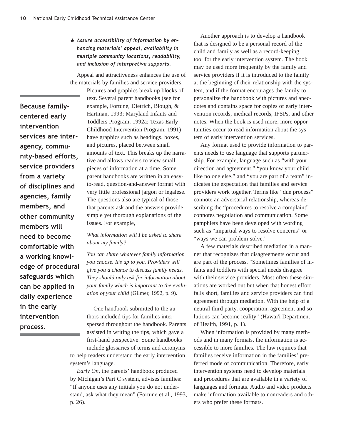# $\star$  Assure accessibility of information by enhancing materials' appeal, availability in multiple community locations, readability, and inclusion of interpretive supports.

Appeal and attractiveness enhances the use of the materials by families and service providers.

Because familycentered early intervention services are interagency, community-based efforts, service providers from a variety of disciplines and agencies, family members, and other community members will need to become comfortable with a working knowledge of procedural safeguards which can be applied in daily experience in the early intervention process.

Pictures and graphics break up blocks of text. Several parent handbooks (see for example, Fortune, Dietrich, Blough, & Hartman, 1993; Maryland Infants and Toddlers Program, 1992a; Texas Early Childhood Intervention Program, 1991) have graphics such as headings, boxes, and pictures, placed between small amounts of text. This breaks up the narrative and allows readers to view small pieces of information at a time. Some parent handbooks are written in an easyto-read, question-and-answer format with very little professional jargon or legalese. The questions also are typical of those that parents ask and the answers provide simple yet thorough explanations of the issues. For example,

#### *What information will I be asked to share about my family?*

*You can share whatever family information you choose. It's up to you. Providers will give you a chance to discuss family needs. They should only ask for information about your family which is important to the evaluation of your child* (Gilmer, 1992, p. 9).

One handbook submitted to the authors included tips for families interspersed throughout the handbook. Parents assisted in writing the tips, which gave a first-hand perspective. Some handbooks include glossaries of terms and acronyms to help readers understand the early intervention system's language.

*Early On*, the parents' handbook produced by Michigan's Part C system, advises families: "If anyone uses any initials you do not understand, ask what they mean" (Fortune et al., 1993, p. 26).

Another approach is to develop a handbook that is designed to be a personal record of the child and family as well as a record-keeping tool for the early intervention system. The book may be used more frequently by the family and service providers if it is introduced to the family at the beginning of their relationship with the system, and if the format encourages the family to personalize the handbook with pictures and anecdotes and contains space for copies of early intervention records, medical records, IFSPs, and other notes. When the book is used more, more opportunities occur to read information about the system of early intervention services.

Any format used to provide information to parents needs to use language that supports partnership. For example, language such as "with your direction and agreement," "you know your child like no one else," and "you are part of a team" indicates the expectation that families and service providers work together. Terms like "due process" connote an adversarial relationship, whereas describing the "procedures to resolve a complaint" connotes negotiation and communication. Some pamphlets have been developed with wording such as "impartial ways to resolve concerns" or "ways we can problem-solve."

A few materials described mediation in a manner that recognizes that disagreements occur and are part of the process. "Sometimes families of infants and toddlers with special needs disagree with their service providers. Most often these situations are worked out but when that honest effort falls short, families and service providers can find agreement through mediation. With the help of a neutral third party, cooperation, agreement and solutions can become reality" (Hawai'i Department of Health, 1991, p. 1).

When information is provided by many methods and in many formats, the information is accessible to more families. The law requires that families receive information in the families' preferred mode of communication. Therefore, early intervention systems need to develop materials and procedures that are available in a variety of languages and formats. Audio and video products make information available to nonreaders and others who prefer these formats.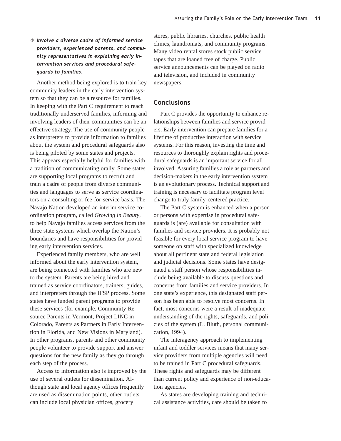# $\Diamond$  Involve a diverse cadre of informed service providers, experienced parents, and community representatives in explaining early intervention services and procedural safeguards to families.

Another method being explored is to train key community leaders in the early intervention system so that they can be a resource for families. In keeping with the Part C requirement to reach traditionally underserved families, informing and involving leaders of their communities can be an effective strategy. The use of community people as interpreters to provide information to families about the system and procedural safeguards also is being piloted by some states and projects. This appears especially helpful for families with a tradition of communicating orally. Some states are supporting local programs to recruit and train a cadre of people from diverse communities and languages to serve as service coordinators on a consulting or fee-for-service basis. The Navajo Nation developed an interim service coordination program, called *Growing in Beauty*, to help Navajo families access services from the three state systems which overlap the Nation's boundaries and have responsibilities for providing early intervention services.

Experienced family members, who are well informed about the early intervention system, are being connected with families who are new to the system. Parents are being hired and trained as service coordinators, trainers, guides, and interpreters through the IFSP process. Some states have funded parent programs to provide these services (for example, Community Resource Parents in Vermont, Project LINC in Colorado, Parents as Partners in Early Intervention in Florida, and New Visions in Maryland). In other programs, parents and other community people volunteer to provide support and answer questions for the new family as they go through each step of the process.

Access to information also is improved by the use of several outlets for dissemination. Although state and local agency offices frequently are used as dissemination points, other outlets can include local physician offices, grocery

stores, public libraries, churches, public health clinics, laundromats, and community programs. Many video rental stores stock public service tapes that are loaned free of charge. Public service announcements can be played on radio and television, and included in community newspapers.

#### **Conclusions**

Part C provides the opportunity to enhance relationships between families and service providers. Early intervention can prepare families for a lifetime of productive interaction with service systems. For this reason, investing the time and resources to thoroughly explain rights and procedural safeguards is an important service for all involved. Assuring families a role as partners and decision-makers in the early intervention system is an evolutionary process. Technical support and training is necessary to facilitate program level change to truly family-centered practice.

The Part C system is enhanced when a person or persons with expertise in procedural safeguards is (are) available for consultation with families and service providers. It is probably not feasible for every local service program to have someone on staff with specialized knowledge about all pertinent state and federal legislation and judicial decisions. Some states have designated a staff person whose responsibilities include being available to discuss questions and concerns from families and service providers. In one state's experience, this designated staff person has been able to resolve most concerns. In fact, most concerns were a result of inadequate understanding of the rights, safeguards, and policies of the system (L. Bluth, personal communication, 1994).

The interagency approach to implementing infant and toddler services means that many service providers from multiple agencies will need to be trained in Part C procedural safeguards. These rights and safeguards may be different than current policy and experience of non-education agencies.

As states are developing training and technical assistance activities, care should be taken to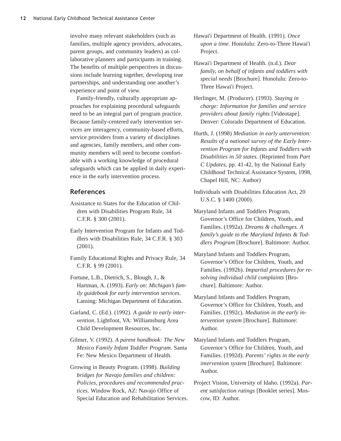involve many relevant stakeholders (such as families, multiple agency providers, advocates, parent groups, and community leaders) as collaborative planners and participants in training. The benefits of multiple perspectives in discussions include learning together, developing true partnerships, and understanding one another's experience and point of view.

Family-friendly, culturally appropriate approaches for explaining procedural safeguards need to be an integral part of program practice. Because family-centered early intervention services are interagency, community-based efforts, service providers from a variety of disciplines and agencies, family members, and other community members will need to become comfortable with a working knowledge of procedural safeguards which can be applied in daily experience in the early intervention process.

#### References

- Assistance to States for the Education of Children with Disabilities Program Rule, 34 C.F.R. § 300 (2001).
- Early Intervention Program for Infants and Toddlers with Disabilities Rule, 34 C.F.R. § 303 (2001).
- Family Educational Rights and Privacy Rule, 34 C.F.R. § 99 (2001).
- Fortune, L.B., Dietrich, S., Blough, J., & Hartman, A. (1993). *Early on: Michigan's family guidebook for early intervention services*. Lansing: Michigan Department of Education.
- Garland, C. (Ed.). (1992). *A guide to early intervention*. Lightfoot, VA: Williamsburg Area Child Development Resources, Inc.
- Gilmer, V. (1992). *A parent handbook: The New Mexico Family Infant Toddler Program*. Santa Fe: New Mexico Department of Health.
- Growing in Beauty Program. (1998). *Building bridges for Navajo families and children: Policies, procedures and recommended practices*. Window Rock, AZ: Navajo Office of Special Education and Rehabilitation Services.
- Hawai'i Department of Health. (1991). *Once upon a time*. Honolulu: Zero-to-Three Hawai'i Project.
- Hawai'i Department of Health. (n.d.). *Dear family, on behalf of infants and toddlers with special needs* [Brochure]. Honolulu: Zero-to-Three Hawai'i Project.
- Herlinger, M. (Producer). (1993). *Staying in charge: Information for families and service providers about family rights* [Videotape]. Denver: Colorado Department of Education.
- Hurth, J. (1998) *Mediation in early untervention: Results of a national survey of the Early Intervention Program for Infants and Toddlers with Disabilities in 50 states.* (Reprinted from *Part C Updates*, pp. 41-42, by the National Early Childhood Technical Assistance System, 1998, Chapel Hill, NC: Author)
- Individuals with Disabilities Education Act, 20 U.S.C. § 1400 (2000).
- Maryland Infants and Toddlers Program, Governor's Office for Children, Youth, and Families. (1992a). *Dreams & challenges. A family's guide to the Maryland Infants & Toddlers Program* [Brochure]. Baltimore: Author.
- Maryland Infants and Toddlers Program, Governor's Office for Children, Youth, and Families. (1992b). *Impartial procedures for resolving individual child complaints* [Brochure]. Baltimore: Author.
- Maryland Infants and Toddlers Program, Governor's Office for Children, Youth, and Families. (1992c). *Mediation in the early intervention system* [Brochure]. Baltimore: Author.
- Maryland Infants and Toddlers Program, Governor's Office for Children, Youth, and Families. (1992d). *Parents' rights in the early intervention system* [Brochure]. Baltimore: Author.
- Project Vision, University of Idaho. (1992a). *Parent satisfaction ratings* [Booklet series]. Moscow, ID: Author.